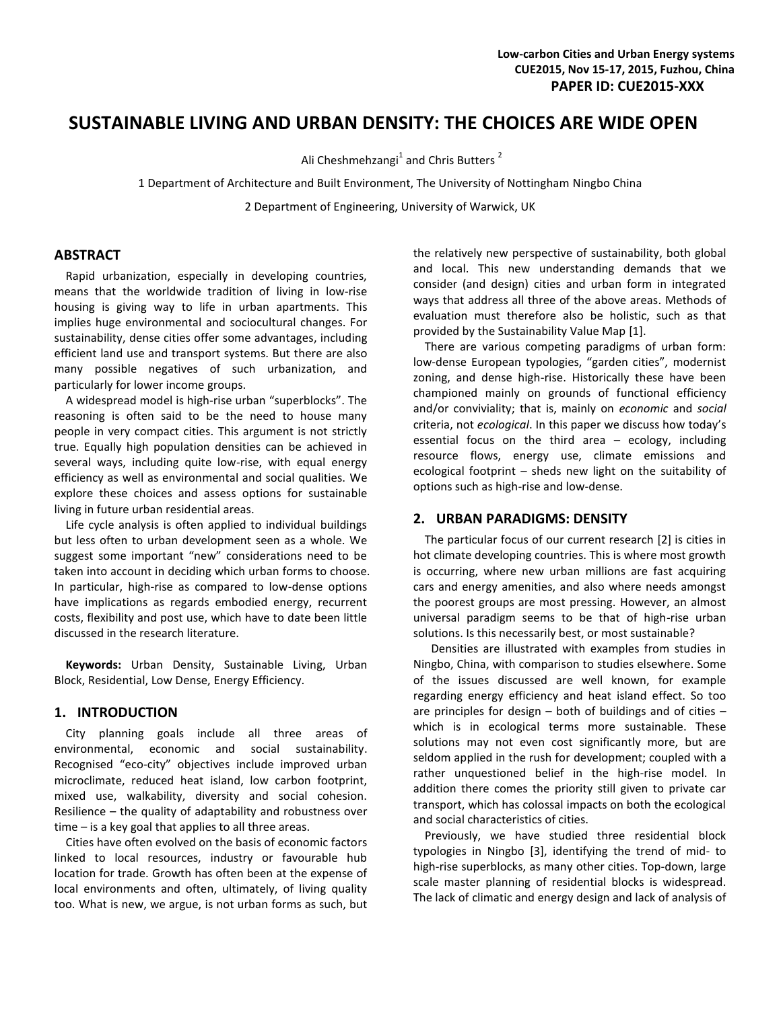# **SUSTAINABLE LIVING AND URBAN DENSITY: THE CHOICES ARE WIDE OPEN**

Ali Cheshmehzangi<sup>1</sup> and Chris Butters<sup>2</sup>

1 Department of Architecture and Built Environment, The University of Nottingham Ningbo China

2 Department of Engineering, University of Warwick, UK

#### **ABSTRACT**

Rapid urbanization, especially in developing countries, means that the worldwide tradition of living in low-rise housing is giving way to life in urban apartments. This implies huge environmental and sociocultural changes. For sustainability, dense cities offer some advantages, including efficient land use and transport systems. But there are also many possible negatives of such urbanization, and particularly for lower income groups.

A widespread model is high-rise urban "superblocks". The reasoning is often said to be the need to house many people in very compact cities. This argument is not strictly true. Equally high population densities can be achieved in several ways, including quite low-rise, with equal energy efficiency as well as environmental and social qualities. We explore these choices and assess options for sustainable living in future urban residential areas.

Life cycle analysis is often applied to individual buildings but less often to urban development seen as a whole. We suggest some important "new" considerations need to be taken into account in deciding which urban forms to choose. In particular, high-rise as compared to low-dense options have implications as regards embodied energy, recurrent costs, flexibility and post use, which have to date been little discussed in the research literature.

**Keywords:** Urban Density, Sustainable Living, Urban Block, Residential, Low Dense, Energy Efficiency.

#### **1. INTRODUCTION**

City planning goals include all three areas of environmental, economic and social sustainability. Recognised "eco-city" objectives include improved urban microclimate, reduced heat island, low carbon footprint, mixed use, walkability, diversity and social cohesion. Resilience – the quality of adaptability and robustness over time – is a key goal that applies to all three areas.

Cities have often evolved on the basis of economic factors linked to local resources, industry or favourable hub location for trade. Growth has often been at the expense of local environments and often, ultimately, of living quality too. What is new, we argue, is not urban forms as such, but the relatively new perspective of sustainability, both global and local. This new understanding demands that we consider (and design) cities and urban form in integrated ways that address all three of the above areas. Methods of evaluation must therefore also be holistic, such as that provided by the Sustainability Value Map [1].

There are various competing paradigms of urban form: low-dense European typologies, "garden cities", modernist zoning, and dense high-rise. Historically these have been championed mainly on grounds of functional efficiency and/or conviviality; that is, mainly on *economic* and *social* criteria, not *ecological*. In this paper we discuss how today's essential focus on the third area – ecology, including resource flows, energy use, climate emissions and ecological footprint – sheds new light on the suitability of options such as high-rise and low-dense.

#### **2. URBAN PARADIGMS: DENSITY**

The particular focus of our current research [2] is cities in hot climate developing countries. This is where most growth is occurring, where new urban millions are fast acquiring cars and energy amenities, and also where needs amongst the poorest groups are most pressing. However, an almost universal paradigm seems to be that of high-rise urban solutions. Is this necessarily best, or most sustainable?

Densities are illustrated with examples from studies in Ningbo, China, with comparison to studies elsewhere. Some of the issues discussed are well known, for example regarding energy efficiency and heat island effect. So too are principles for design  $-$  both of buildings and of cities  $$ which is in ecological terms more sustainable. These solutions may not even cost significantly more, but are seldom applied in the rush for development; coupled with a rather unquestioned belief in the high-rise model. In addition there comes the priority still given to private car transport, which has colossal impacts on both the ecological and social characteristics of cities.

Previously, we have studied three residential block typologies in Ningbo [3], identifying the trend of mid- to high-rise superblocks, as many other cities. Top-down, large scale master planning of residential blocks is widespread. The lack of climatic and energy design and lack of analysis of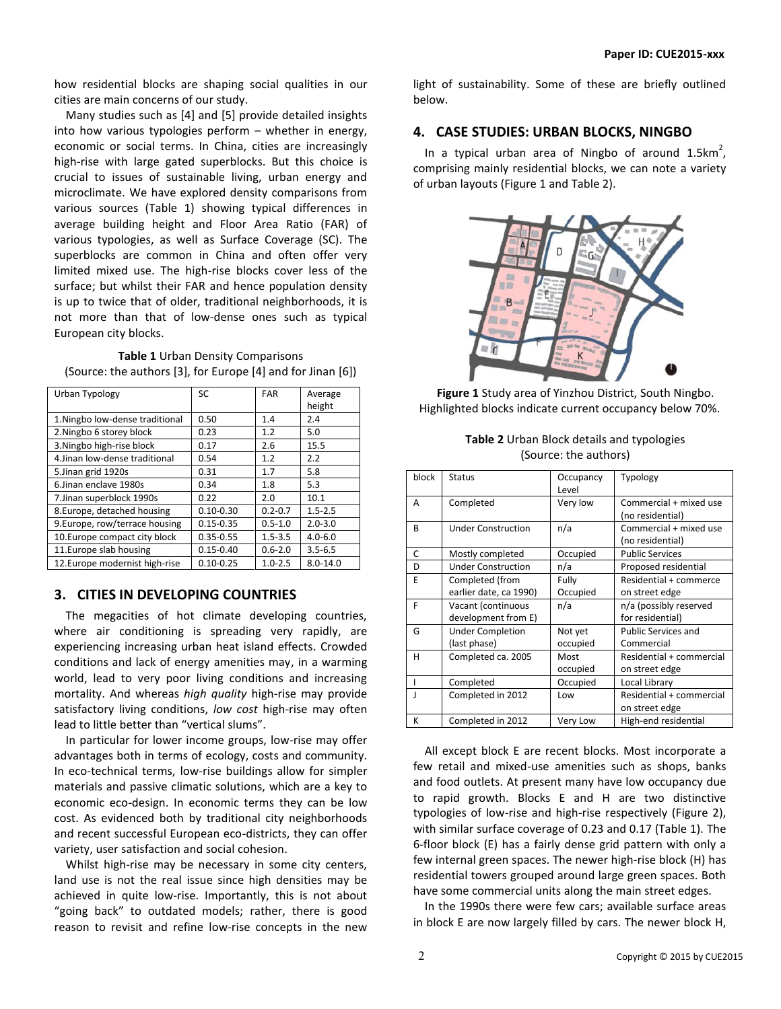how residential blocks are shaping social qualities in our cities are main concerns of our study.

Many studies such as [4] and [5] provide detailed insights into how various typologies perform – whether in energy, economic or social terms. In China, cities are increasingly high-rise with large gated superblocks. But this choice is crucial to issues of sustainable living, urban energy and microclimate. We have explored density comparisons from various sources (Table 1) showing typical differences in average building height and Floor Area Ratio (FAR) of various typologies, as well as Surface Coverage (SC). The superblocks are common in China and often offer very limited mixed use. The high-rise blocks cover less of the surface; but whilst their FAR and hence population density is up to twice that of older, traditional neighborhoods, it is not more than that of low-dense ones such as typical European city blocks.

**Table 1** Urban Density Comparisons (Source: the authors [3], for Europe [4] and for Jinan [6])

| Urban Typology                  | <b>SC</b>     | <b>FAR</b>  | Average<br>height |
|---------------------------------|---------------|-------------|-------------------|
| 1. Ningbo low-dense traditional | 0.50          | 1.4         | 2.4               |
| 2. Ningbo 6 storey block        | 0.23          | 1.2         | 5.0               |
| 3. Ningbo high-rise block       | 0.17          | 2.6         | 15.5              |
| 4. Jinan low-dense traditional  | 0.54          | 1.2         | 2.2               |
| 5. Jinan grid 1920s             | 0.31          | 1.7         | 5.8               |
| 6. Jinan enclave 1980s          | 0.34          | 1.8         | 5.3               |
| 7.Jinan superblock 1990s        | 0.22          | 2.0         | 10.1              |
| 8.Europe, detached housing      | $0.10 - 0.30$ | $0.2 - 0.7$ | $1.5 - 2.5$       |
| 9. Europe, row/terrace housing  | $0.15 - 0.35$ | $0.5 - 1.0$ | $2.0 - 3.0$       |
| 10. Europe compact city block   | $0.35 - 0.55$ | $1.5 - 3.5$ | $4.0 - 6.0$       |
| 11. Europe slab housing         | $0.15 - 0.40$ | $0.6 - 2.0$ | $3.5 - 6.5$       |
| 12. Europe modernist high-rise  | $0.10 - 0.25$ | $1.0 - 2.5$ | $8.0 - 14.0$      |

#### **3. CITIES IN DEVELOPING COUNTRIES**

The megacities of hot climate developing countries, where air conditioning is spreading very rapidly, are experiencing increasing urban heat island effects. Crowded conditions and lack of energy amenities may, in a warming world, lead to very poor living conditions and increasing mortality. And whereas *high quality* high-rise may provide satisfactory living conditions, *low cost* high-rise may often lead to little better than "vertical slums".

In particular for lower income groups, low-rise may offer advantages both in terms of ecology, costs and community. In eco-technical terms, low-rise buildings allow for simpler materials and passive climatic solutions, which are a key to economic eco-design. In economic terms they can be low cost. As evidenced both by traditional city neighborhoods and recent successful European eco-districts, they can offer variety, user satisfaction and social cohesion.

Whilst high-rise may be necessary in some city centers, land use is not the real issue since high densities may be achieved in quite low-rise. Importantly, this is not about "going back" to outdated models; rather, there is good reason to revisit and refine low-rise concepts in the new light of sustainability. Some of these are briefly outlined below.

#### **4. CASE STUDIES: URBAN BLOCKS, NINGBO**

In a typical urban area of Ningbo of around 1.5 $km^2$ , comprising mainly residential blocks, we can note a variety of urban layouts (Figure 1 and Table 2).



**Figure 1** Study area of Yinzhou District, South Ningbo. Highlighted blocks indicate current occupancy below 70%.

| <b>Table 2</b> Urban Block details and typologies |  |  |
|---------------------------------------------------|--|--|
| (Source: the authors)                             |  |  |

| block | <b>Status</b>             | Occupancy<br>Level | Typology                   |
|-------|---------------------------|--------------------|----------------------------|
| A     | Completed                 | Very low           | Commercial + mixed use     |
|       |                           |                    | (no residential)           |
| R     | <b>Under Construction</b> | n/a                | Commercial + mixed use     |
|       |                           |                    | (no residential)           |
| C     | Mostly completed          | Occupied           | <b>Public Services</b>     |
| D     | <b>Under Construction</b> | n/a                | Proposed residential       |
| F     | Completed (from           | Fully              | Residential + commerce     |
|       | earlier date, ca 1990)    | Occupied           | on street edge             |
| F     | Vacant (continuous        | n/a                | n/a (possibly reserved     |
|       | development from E)       |                    | for residential)           |
| G     | <b>Under Completion</b>   | Not yet            | <b>Public Services and</b> |
|       | (last phase)              | occupied           | Commercial                 |
| н     | Completed ca. 2005        | Most               | Residential + commercial   |
|       |                           | occupied           | on street edge             |
|       | Completed                 | Occupied           | Local Library              |
|       | Completed in 2012         | Low                | Residential + commercial   |
|       |                           |                    | on street edge             |
| K     | Completed in 2012         | Very Low           | High-end residential       |

All except block E are recent blocks. Most incorporate a few retail and mixed-use amenities such as shops, banks and food outlets. At present many have low occupancy due to rapid growth. Blocks E and H are two distinctive typologies of low-rise and high-rise respectively (Figure 2), with similar surface coverage of 0.23 and 0.17 (Table 1). The 6-floor block (E) has a fairly dense grid pattern with only a few internal green spaces. The newer high-rise block (H) has residential towers grouped around large green spaces. Both have some commercial units along the main street edges.

In the 1990s there were few cars; available surface areas in block E are now largely filled by cars. The newer block H,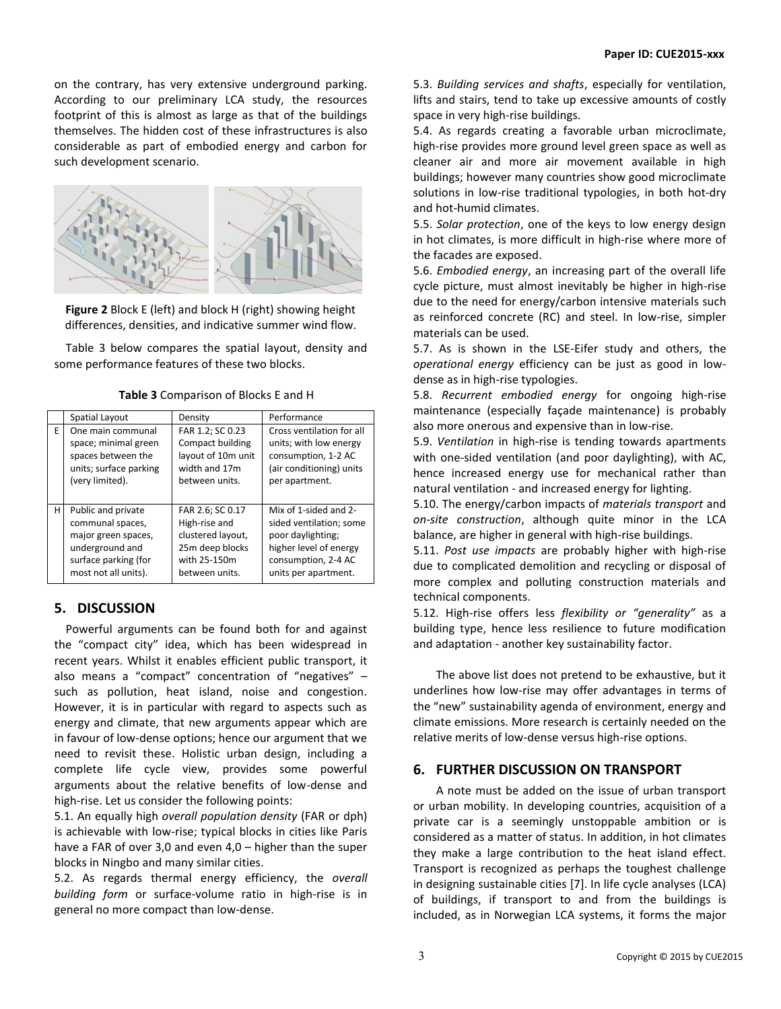on the contrary, has very extensive underground parking. According to our preliminary LCA study, the resources footprint of this is almost as large as that of the buildings themselves. The hidden cost of these infrastructures is also considerable as part of embodied energy and carbon for such development scenario.



**Figure 2** Block E (left) and block H (right) showing height differences, densities, and indicative summer wind flow.

Table 3 below compares the spatial layout, density and some performance features of these two blocks.

**Table 3** Comparison of Blocks E and H

|    | Spatial Layout         | Density            | Performance               |
|----|------------------------|--------------------|---------------------------|
| F. | One main communal      | FAR 1.2; SC 0.23   | Cross ventilation for all |
|    | space; minimal green   | Compact building   | units; with low energy    |
|    | spaces between the     | layout of 10m unit | consumption, 1-2 AC       |
|    | units; surface parking | width and 17m      | (air conditioning) units  |
|    | (very limited).        | between units.     | per apartment.            |
| н  | Public and private     | FAR 2.6; SC 0.17   | Mix of 1-sided and 2-     |
|    | communal spaces,       | High-rise and      | sided ventilation; some   |
|    | major green spaces,    | clustered layout,  | poor daylighting;         |
|    | underground and        | 25m deep blocks    | higher level of energy    |
|    | surface parking (for   | with 25-150m       | consumption, 2-4 AC       |
|    | most not all units).   | between units.     | units per apartment.      |

### **5. DISCUSSION**

Powerful arguments can be found both for and against the "compact city" idea, which has been widespread in recent years. Whilst it enables efficient public transport, it also means a "compact" concentration of "negatives" – such as pollution, heat island, noise and congestion. However, it is in particular with regard to aspects such as energy and climate, that new arguments appear which are in favour of low-dense options; hence our argument that we need to revisit these. Holistic urban design, including a complete life cycle view, provides some powerful arguments about the relative benefits of low-dense and high-rise. Let us consider the following points:

5.1. An equally high *overall population density* (FAR or dph) is achievable with low-rise; typical blocks in cities like Paris have a FAR of over 3,0 and even 4,0 – higher than the super blocks in Ningbo and many similar cities.

5.2. As regards thermal energy efficiency, the *overall building form* or surface-volume ratio in high-rise is in general no more compact than low-dense.

5.3. *Building services and shafts*, especially for ventilation, lifts and stairs, tend to take up excessive amounts of costly space in very high-rise buildings.

5.4. As regards creating a favorable urban microclimate, high-rise provides more ground level green space as well as cleaner air and more air movement available in high buildings; however many countries show good microclimate solutions in low-rise traditional typologies, in both hot-dry and hot-humid climates.

5.5. *Solar protection*, one of the keys to low energy design in hot climates, is more difficult in high-rise where more of the facades are exposed.

5.6. *Embodied energy*, an increasing part of the overall life cycle picture, must almost inevitably be higher in high-rise due to the need for energy/carbon intensive materials such as reinforced concrete (RC) and steel. In low-rise, simpler materials can be used.

5.7. As is shown in the LSE-Eifer study and others, the *operational energy* efficiency can be just as good in lowdense as in high-rise typologies.

5.8. *Recurrent embodied energy* for ongoing high-rise maintenance (especially façade maintenance) is probably also more onerous and expensive than in low-rise.

5.9. *Ventilation* in high-rise is tending towards apartments with one-sided ventilation (and poor daylighting), with AC, hence increased energy use for mechanical rather than natural ventilation - and increased energy for lighting.

5.10. The energy/carbon impacts of *materials transport* and *on-site construction*, although quite minor in the LCA balance, are higher in general with high-rise buildings.

5.11. *Post use impacts* are probably higher with high-rise due to complicated demolition and recycling or disposal of more complex and polluting construction materials and technical components.

5.12. High-rise offers less *flexibility or "generality"* as a building type, hence less resilience to future modification and adaptation - another key sustainability factor.

The above list does not pretend to be exhaustive, but it underlines how low-rise may offer advantages in terms of the "new" sustainability agenda of environment, energy and climate emissions. More research is certainly needed on the relative merits of low-dense versus high-rise options.

# **6. FURTHER DISCUSSION ON TRANSPORT**

A note must be added on the issue of urban transport or urban mobility. In developing countries, acquisition of a private car is a seemingly unstoppable ambition or is considered as a matter of status. In addition, in hot climates they make a large contribution to the heat island effect. Transport is recognized as perhaps the toughest challenge in designing sustainable cities [7]. In life cycle analyses (LCA) of buildings, if transport to and from the buildings is included, as in Norwegian LCA systems, it forms the major